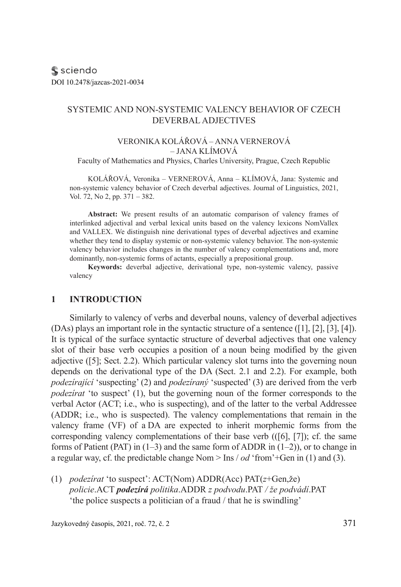s sciendo DOI 10.2478/jazcas-2021-0034

### SYSTEMIC AND NON-SYSTEMIC VALENCY BEHAVIOR OF CZECH DEVERBAL ADJECTIVES

#### VERONIKA KOLÁŘOVÁ – ANNA VERNEROVÁ – JANA KLÍMOVÁ

Faculty of Mathematics and Physics, Charles University, Prague, Czech Republic

KOLÁŘOVÁ, Veronika – VERNEROVÁ, Anna – KLÍMOVÁ, Jana: Systemic and non-systemic valency behavior of Czech deverbal adjectives. Journal of Linguistics, 2021, Vol. 72, No 2, pp. 371 – 382.

**Abstract:** We present results of an automatic comparison of valency frames of interlinked adjectival and verbal lexical units based on the valency lexicons NomVallex and VALLEX. We distinguish nine derivational types of deverbal adjectives and examine whether they tend to display systemic or non-systemic valency behavior. The non-systemic valency behavior includes changes in the number of valency complementations and, more dominantly, non-systemic forms of actants, especially a prepositional group.

**Keywords:** deverbal adjective, derivational type, non-systemic valency, passive valency

#### **1 INTRODUCTION**

Similarly to valency of verbs and deverbal nouns, valency of deverbal adjectives (DAs) plays an important role in the syntactic structure of a sentence ([1], [2], [3], [4]). It is typical of the surface syntactic structure of deverbal adjectives that one valency slot of their base verb occupies a position of a noun being modified by the given adjective ([5]; Sect. 2.2). Which particular valency slot turns into the governing noun depends on the derivational type of the DA (Sect. 2.1 and 2.2). For example, both *podezírající* 'suspecting' (2) and *podezíraný* 'suspected' (3) are derived from the verb *podezírat* 'to suspect' (1), but the governing noun of the former corresponds to the verbal Actor (ACT; i.e., who is suspecting), and of the latter to the verbal Addressee (ADDR; i.e., who is suspected). The valency complementations that remain in the valency frame (VF) of a DA are expected to inherit morphemic forms from the corresponding valency complementations of their base verb (([6], [7]); cf. the same forms of Patient (PAT) in  $(1-3)$  and the same form of ADDR in  $(1-2)$ ), or to change in a regular way, cf. the predictable change Nom > Ins / *od* 'from'+Gen in (1) and (3).

(1) *podezírat* 'to suspect': ACT(Nom) ADDR(Acc) PAT(*z*+Gen,že) *policie*.ACT *podezírá politika*.ADDR *z podvodu*.PAT */ že podvádí*.PAT 'the police suspects a politician of a fraud / that he is swindling'

Jazykovedný časopis, 2021, roč. 72, č. 2 371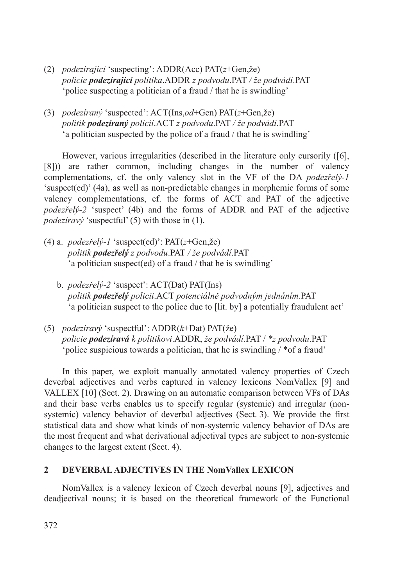- (2) *podezírající* 'suspecting': ADDR(Acc) PAT(*z*+Gen,že) *policie podezírající politika*.ADDR *z podvodu*.PAT */ že podvádí*.PAT 'police suspecting a politician of a fraud / that he is swindling'
- (3) *podezíraný* 'suspected': ACT(Ins,*od*+Gen) PAT(*z*+Gen,že) *politik podezíraný policií*.ACT *z podvodu*.PAT */ že podvádí*.PAT 'a politician suspected by the police of a fraud / that he is swindling'

However, various irregularities (described in the literature only cursorily ([6], [8])) are rather common, including changes in the number of valency complementations, cf. the only valency slot in the VF of the DA *podezřelý-1* 'suspect(ed)' (4a), as well as non-predictable changes in morphemic forms of some valency complementations, cf. the forms of ACT and PAT of the adjective *podezřelý-2* 'suspect' (4b) and the forms of ADDR and PAT of the adjective *podezíravý* 'suspectful' (5) with those in (1).

- (4) a. *podezřelý-1* 'suspect(ed)': PAT(*z*+Gen,že) *politik podezřelý z podvodu*.PAT */ že podvádí*.PAT 'a politician suspect(ed) of a fraud / that he is swindling'
	- b. *podezřelý-2* 'suspect': ACT(Dat) PAT(Ins) *politik podezřelý policii*.ACT *potenciálně podvodným jednáním*.PAT 'a politician suspect to the police due to [lit. by] a potentially fraudulent act'
- (5) *podezíravý* 'suspectful': ADDR(*k*+Dat) PAT(že) *policie podezíravá k politikovi*.ADDR, *že podvádí*.PAT / *\*z podvodu*.PAT 'police suspicious towards a politician, that he is swindling / \*of a fraud'

In this paper, we exploit manually annotated valency properties of Czech deverbal adjectives and verbs captured in valency lexicons NomVallex [9] and VALLEX [10] (Sect. 2). Drawing on an automatic comparison between VFs of DAs and their base verbs enables us to specify regular (systemic) and irregular (nonsystemic) valency behavior of deverbal adjectives (Sect. 3). We provide the first statistical data and show what kinds of non-systemic valency behavior of DAs are the most frequent and what derivational adjectival types are subject to non-systemic changes to the largest extent (Sect. 4).

### **2 DEVERBAL ADJECTIVES IN THE NomVallex LEXICON**

NomVallex is a valency lexicon of Czech deverbal nouns [9], adjectives and deadjectival nouns; it is based on the theoretical framework of the Functional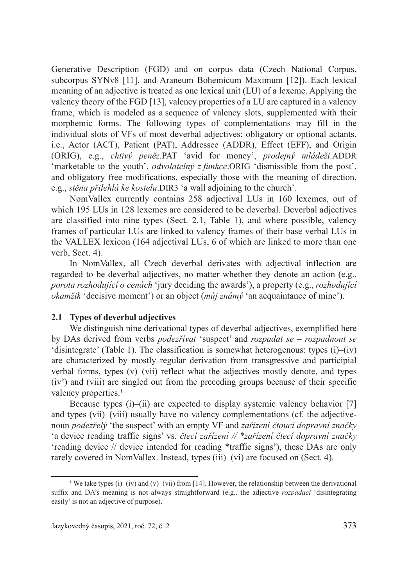Generative Description (FGD) and on corpus data (Czech National Corpus, subcorpus SYNv8 [11], and Araneum Bohemicum Maximum [12]). Each lexical meaning of an adjective is treated as one lexical unit (LU) of a lexeme. Applying the valency theory of the FGD [13], valency properties of a LU are captured in a valency frame, which is modeled as a sequence of valency slots, supplemented with their morphemic forms. The following types of complementations may fill in the individual slots of VFs of most deverbal adjectives: obligatory or optional actants, i.e., Actor (ACT), Patient (PAT), Addressee (ADDR), Effect (EFF), and Origin (ORIG), e.g., *chtivý peněz*.PAT 'avid for money', *prodejný mládeži*.ADDR 'marketable to the youth', *odvolatelný z funkce*.ORIG 'dismissible from the post', and obligatory free modifications, especially those with the meaning of direction, e.g., *stěna přilehlá ke kostelu*.DIR3 'a wall adjoining to the church'.

NomVallex currently contains 258 adjectival LUs in 160 lexemes, out of which 195 LUs in 128 lexemes are considered to be deverbal. Deverbal adjectives are classified into nine types (Sect. 2.1, Table 1), and where possible, valency frames of particular LUs are linked to valency frames of their base verbal LUs in the VALLEX lexicon (164 adjectival LUs, 6 of which are linked to more than one verb, Sect. 4).

In NomVallex, all Czech deverbal derivates with adjectival inflection are regarded to be deverbal adjectives, no matter whether they denote an action (e.g., *porota rozhodující o cenách* 'jury deciding the awards'), a property (e.g., *rozhodující okamžik* 'decisive moment') or an object (*můj známý* 'an acquaintance of mine').

### **2.1 Types of deverbal adjectives**

We distinguish nine derivational types of deverbal adjectives, exemplified here by DAs derived from verbs *podezřívat* 'suspect' and *rozpadat se – rozpadnout se* 'disintegrate' (Table 1). The classification is somewhat heterogenous: types (i)–(iv) are characterized by mostly regular derivation from transgressive and participial verbal forms, types (v)–(vii) reflect what the adjectives mostly denote, and types (iv') and (viii) are singled out from the preceding groups because of their specific valency properties.<sup>1</sup>

Because types (i)–(ii) are expected to display systemic valency behavior [7] and types (vii)–(viii) usually have no valency complementations (cf. the adjectivenoun *podezřelý* 'the suspect' with an empty VF and *zařízení čtoucí dopravní značky* 'a device reading traffic signs' vs. *čtecí zařízení // \*zařízení čtecí dopravní značky*  'reading device // device intended for reading \*traffic signs'), these DAs are only rarely covered in NomVallex. Instead, types (iii)–(vi) are focused on (Sect. 4).

<sup>&</sup>lt;sup>1</sup> We take types (i)–(iv) and (v)–(vii) from [14]. However, the relationship between the derivational suffix and DA's meaning is not always straightforward (e.g.. the adjective *rozpadací* 'disintegrating easily' is not an adjective of purpose).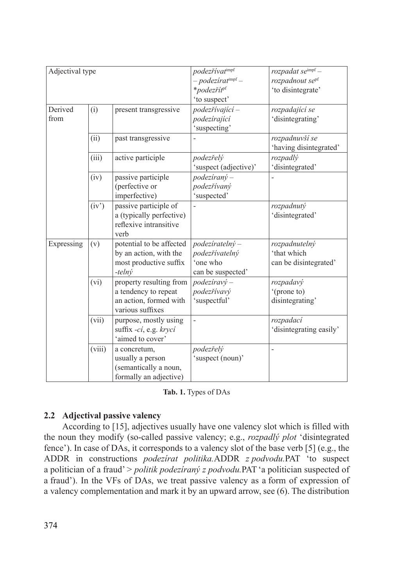| Adjectival type |        |                                                                                               | podezřívatimpf<br>- podezírat <sup>impf</sup> -<br>*podezřít <sup>pf</sup> | $rozpadat$ se $^{impf}$ –<br>rozpadnout se <sup>pf</sup><br>'to disintegrate' |
|-----------------|--------|-----------------------------------------------------------------------------------------------|----------------------------------------------------------------------------|-------------------------------------------------------------------------------|
|                 |        |                                                                                               | 'to suspect'                                                               |                                                                               |
| Derived<br>from | (i)    | present transgressive                                                                         | podezřívající -<br>podezírající<br>'suspecting'                            | rozpadající se<br>'disintegrating'                                            |
|                 | (ii)   | past transgressive                                                                            |                                                                            | rozpadnuvší se<br>'having disintegrated'                                      |
|                 | (iii)  | active participle                                                                             | podezřelý<br>'suspect (adjective)'                                         | rozpadlý<br>'disintegrated'                                                   |
|                 | (iv)   | passive participle<br>(perfective or<br>imperfective)                                         | $podeziran$ <sup><math>y</math></sup> –<br>podezřívaný<br>'suspected'      |                                                                               |
|                 | (iv')  | passive participle of<br>a (typically perfective)<br>reflexive intransitive<br>verb           |                                                                            | rozpadnutý<br>'disintegrated'                                                 |
| Expressing      | (v)    | potential to be affected<br>by an action, with the<br>most productive suffix<br>$-$ telný     | $podeziratelny -$<br>podezřívatelný<br>'one who<br>can be suspected'       | rozpadnutelný<br>'that which<br>can be disintegrated'                         |
|                 | (vi)   | property resulting from<br>a tendency to repeat<br>an action, formed with<br>various suffixes | $podeziravý -$<br>podezřívavý<br>'suspectful'                              | rozpadavý<br>'(prone to)<br>disintegrating'                                   |
|                 | (vii)  | purpose, mostly using<br>suffix -cí, e.g. krycí<br>'aimed to cover'                           | $\overline{a}$                                                             | rozpadací<br>'disintegrating easily'                                          |
|                 | (viii) | a concretum,<br>usually a person<br>(semantically a noun,<br>formally an adjective)           | podezřelý<br>'suspect (noun)'                                              | $\overline{a}$                                                                |

**Tab. 1.** Types of DAs

# **2.2 Adjectival passive valency**

According to [15], adjectives usually have one valency slot which is filled with the noun they modify (so-called passive valency; e.g., *rozpadlý plot* 'disintegrated fence'). In case of DAs, it corresponds to a valency slot of the base verb [5] (e.g., the ADDR in constructions *podezírat politika.*ADDR *z podvodu.*PAT 'to suspect a politician of a fraud' > *politik podezíraný z podvodu.*PAT'a politician suspected of a fraud'). In the VFs of DAs, we treat passive valency as a form of expression of a valency complementation and mark it by an upward arrow, see (6). The distribution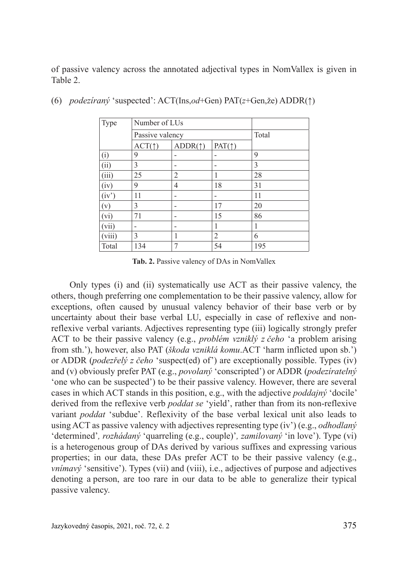of passive valency across the annotated adjectival types in NomVallex is given in Table 2.

| Type   | Number of LUs                      |                          |    |     |
|--------|------------------------------------|--------------------------|----|-----|
|        | Passive valency                    | Total                    |    |     |
|        | ACT(<br>$ADDR(\uparrow)$<br>PAT(1) |                          |    |     |
| (i)    | 9                                  | $\overline{a}$           |    | 9   |
| (ii)   | 3                                  |                          |    | 3   |
| (iii)  | 25                                 | 2                        |    | 28  |
| (iv)   | 9                                  | $\overline{4}$           | 18 | 31  |
| (iv')  | 11                                 | $\overline{a}$           |    | 11  |
| (v)    | 3                                  | $\overline{a}$           | 17 | 20  |
| (vi)   | 71                                 | $\overline{\phantom{0}}$ | 15 | 86  |
| (vii)  | -                                  | $\overline{a}$           |    | 1   |
| (viii) | 3                                  | 1                        | 2  | 6   |
| Total  | 134                                |                          | 54 | 195 |

(6) *podezíraný* 'suspected': ACT(Ins,*od*+Gen) PAT(*z*+Gen,že) ADDR(↑)

**Tab. 2.** Passive valency of DAs in NomVallex

Only types (i) and (ii) systematically use ACT as their passive valency, the others, though preferring one complementation to be their passive valency, allow for exceptions, often caused by unusual valency behavior of their base verb or by uncertainty about their base verbal LU, especially in case of reflexive and nonreflexive verbal variants. Adjectives representing type (iii) logically strongly prefer ACT to be their passive valency (e.g., *problém vzniklý z čeho* 'a problem arising from sth.'), however, also PAT (*škoda vzniklá komu*.ACT 'harm inflicted upon sb.') or ADDR (*podezřelý z čeho* 'suspect(ed) of') are exceptionally possible. Types (iv) and (v) obviously prefer PAT (e.g., *povolaný* 'conscripted') or ADDR (*podezíratelný* 'one who can be suspected') to be their passive valency. However, there are several cases in which ACT stands in this position, e.g., with the adjective *poddajný* 'docile' derived from the reflexive verb *poddat se* 'yield', rather than from its non-reflexive variant *poddat* 'subdue'. Reflexivity of the base verbal lexical unit also leads to using ACT as passive valency with adjectives representing type (iv') (e.g., *odhodlaný* 'determined'*, rozhádaný* 'quarreling (e.g., couple)'*, zamilovaný* 'in love'). Type (vi) is a heterogenous group of DAs derived by various suffixes and expressing various properties; in our data, these DAs prefer ACT to be their passive valency (e.g., *vnímavý* 'sensitive'). Types (vii) and (viii), i.e., adjectives of purpose and adjectives denoting a person, are too rare in our data to be able to generalize their typical passive valency.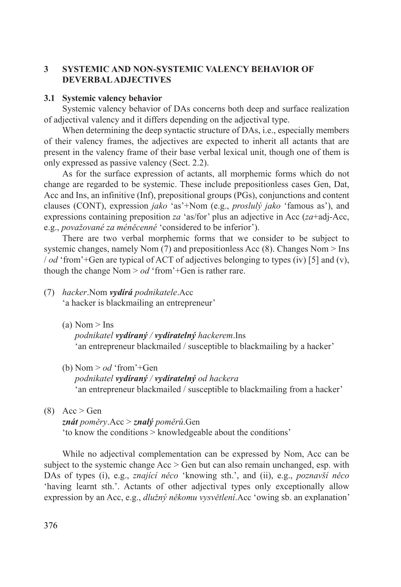## **3 SYSTEMIC AND NON-SYSTEMIC VALENCY BEHAVIOR OF DEVERBAL ADJECTIVES**

#### **3.1 Systemic valency behavior**

Systemic valency behavior of DAs concerns both deep and surface realization of adjectival valency and it differs depending on the adjectival type.

When determining the deep syntactic structure of DAs, *i.e.*, especially members of their valency frames, the adjectives are expected to inherit all actants that are present in the valency frame of their base verbal lexical unit, though one of them is only expressed as passive valency (Sect. 2.2).

As for the surface expression of actants, all morphemic forms which do not change are regarded to be systemic. These include prepositionless cases Gen, Dat, Acc and Ins, an infinitive (Inf), prepositional groups (PGs), conjunctions and content clauses (CONT), expression *jako* 'as'+Nom (e.g., *proslulý jako* 'famous as'), and expressions containing preposition *za* 'as/for' plus an adjective in Acc (*za*+adj-Acc, e.g., *považované za méněcenné* 'considered to be inferior').

There are two verbal morphemic forms that we consider to be subject to systemic changes, namely Nom  $(7)$  and prepositionless Acc  $(8)$ . Changes Nom  $>$  Ins / *od* 'from'+Gen are typical of ACT of adjectives belonging to types (iv) [5] and (v), though the change Nom > *od* 'from'+Gen is rather rare.

(7) *hacker*.Nom *vydírá podnikatele*.Acc 'a hacker is blackmailing an entrepreneur'

 $(a)$  Nom  $>$  Ins

*podnikatel vydíraný / vydíratelný hackerem*.Ins 'an entrepreneur blackmailed / susceptible to blackmailing by a hacker'

- (b) Nom  $>$  *od* 'from'+Gen *podnikatel vydíraný / vydíratelný od hackera* 'an entrepreneur blackmailed / susceptible to blackmailing from a hacker'
- $(8)$  Acc > Gen

 *znát poměry*.Acc > *znalý poměrů*.Gen 'to know the conditions > knowledgeable about the conditions'

While no adjectival complementation can be expressed by Nom, Acc can be subject to the systemic change  $Acc > Gen$  but can also remain unchanged, esp. with DAs of types (i), e.g., *znající něco* 'knowing sth.', and (ii), e.g., *poznavší něco*  'having learnt sth.'. Actants of other adjectival types only exceptionally allow expression by an Acc, e.g., *dlužný někomu vysvětlení*.Acc 'owing sb. an explanation'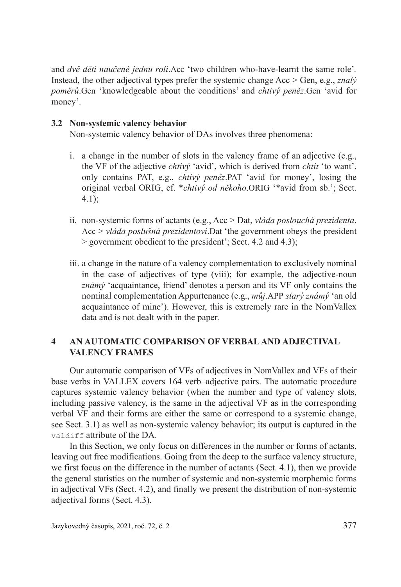and *dvě děti naučené jednu roli*.Acc 'two children who-have-learnt the same role'*.* Instead, the other adjectival types prefer the systemic change Acc > Gen, e.g., *znalý poměrů*.Gen 'knowledgeable about the conditions' and *chtivý peněz*.Gen 'avid for money'.

### **3.2 Non-systemic valency behavior**

Non-systemic valency behavior of DAs involves three phenomena:

- i. a change in the number of slots in the valency frame of an adjective (e.g., the VF of the adjective *chtivý* 'avid', which is derived from *chtít* 'to want', only contains PAT, e.g., *chtivý peněz*.PAT 'avid for money', losing the original verbal ORIG, cf. \**chtivý od někoho*.ORIG '\*avid from sb.'; Sect. 4.1);
- ii. non-systemic forms of actants (e.g., Acc > Dat, *vláda poslouchá prezidenta*. Acc > *vláda poslušná prezidentovi*.Dat 'the government obeys the president > government obedient to the president'; Sect. 4.2 and 4.3);
- iii. a change in the nature of a valency complementation to exclusively nominal in the case of adjectives of type (viii); for example, the adjective-noun *známý* 'acquaintance, friend' denotes a person and its VF only contains the nominal complementation Appurtenance (e.g., *můj*.APP *starý známý* 'an old acquaintance of mine'). However, this is extremely rare in the NomVallex data and is not dealt with in the paper.

## **4 AN AUTOMATIC COMPARISON OF VERBAL AND ADJECTIVAL VALENCY FRAMES**

Our automatic comparison of VFs of adjectives in NomVallex and VFs of their base verbs in VALLEX covers 164 verb–adjective pairs. The automatic procedure captures systemic valency behavior (when the number and type of valency slots, including passive valency, is the same in the adjectival VF as in the corresponding verbal VF and their forms are either the same or correspond to a systemic change, see Sect. 3.1) as well as non-systemic valency behavior; its output is captured in the valdiff attribute of the DA.

In this Section, we only focus on differences in the number or forms of actants, leaving out free modifications. Going from the deep to the surface valency structure, we first focus on the difference in the number of actants (Sect. 4.1), then we provide the general statistics on the number of systemic and non-systemic morphemic forms in adjectival VFs (Sect. 4.2), and finally we present the distribution of non-systemic adjectival forms (Sect. 4.3).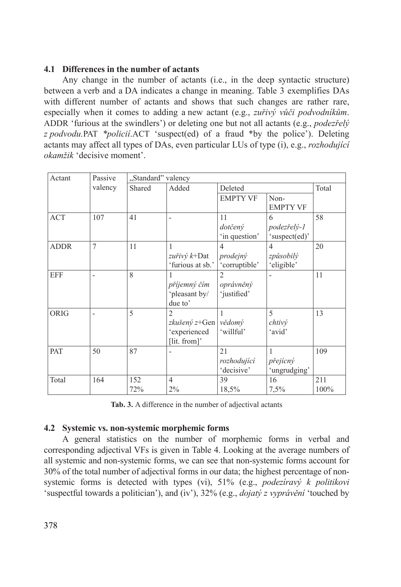### **4.1 Differences in the number of actants**

Any change in the number of actants (i.e., in the deep syntactic structure) between a verb and a DA indicates a change in meaning. Table 3 exemplifies DAs with different number of actants and shows that such changes are rather rare, especially when it comes to adding a new actant (e.g., *zuřivý vůči podvodníkům*. ADDR 'furious at the swindlers') or deleting one but not all actants (e.g., *podezřelý z podvodu.*PAT *\*policií*.ACT 'suspect(ed) of a fraud \*by the police'). Deleting actants may affect all types of DAs, even particular LUs of type (i), e.g., *rozhodující okamžik* 'decisive moment'.

| Actant      | Passive        | "Standard" valency |                                                                         |                                             |                                           |             |  |
|-------------|----------------|--------------------|-------------------------------------------------------------------------|---------------------------------------------|-------------------------------------------|-------------|--|
|             | valency        | Shared             | Added                                                                   | Deleted                                     | Total                                     |             |  |
|             |                |                    |                                                                         | <b>EMPTY VF</b>                             | Non-<br><b>EMPTY VF</b>                   |             |  |
| <b>ACT</b>  | 107            | 41                 |                                                                         | 11<br>dotčený<br>'in question'              | 6<br>podezřelý-1<br>'suspect(ed)'         | 58          |  |
| <b>ADDR</b> | $\overline{7}$ | 11                 | zuřivý $k+$ Dat<br>'furious at sb.'                                     | $\overline{4}$<br>prodejný<br>'corruptible' | $\overline{4}$<br>způsobilý<br>'eligible' | 20          |  |
| <b>EFF</b>  |                | 8                  | příjemný čím<br>'pleasant by/<br>due to'                                | $\overline{2}$<br>oprávněný<br>'justified'  |                                           | 11          |  |
| <b>ORIG</b> |                | 5                  | $\overline{2}$<br><i>zkušený z</i> +Gen<br>'experienced<br>[lit. from]' | vědomý<br>'willful'                         | 5<br>chtivý<br>'avid'                     | 13          |  |
| PAT         | 50             | 87                 |                                                                         | 21<br>rozhodující<br>'decisive'             | 1<br>přejícný<br>'ungrudging'             | 109         |  |
| Total       | 164            | 152<br>72%         | $\overline{4}$<br>2%                                                    | 39<br>18,5%                                 | 16<br>7,5%                                | 211<br>100% |  |

**Tab. 3.** A difference in the number of adjectival actants

### **4.2 Systemic vs. non-systemic morphemic forms**

A general statistics on the number of morphemic forms in verbal and corresponding adjectival VFs is given in Table 4. Looking at the average numbers of all systemic and non-systemic forms, we can see that non-systemic forms account for 30% of the total number of adjectival forms in our data; the highest percentage of nonsystemic forms is detected with types (vi), 51% (e.g., *podezíravý k politikovi* 'suspectful towards a politician'), and (iv'), 32% (e.g., *dojatý z vyprávění* 'touched by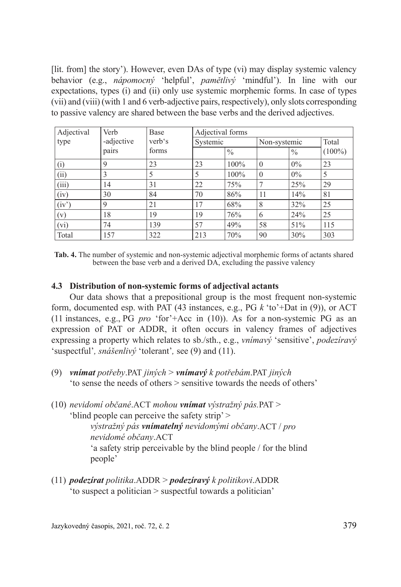[lit. from] the story'). However, even DAs of type (vi) may display systemic valency behavior (e.g., *nápomocný* 'helpful', *pamětlivý* 'mindful'). In line with our expectations, types (i) and (ii) only use systemic morphemic forms. In case of types (vii) and (viii) (with 1 and 6 verb-adjective pairs, respectively), only slots corresponding to passive valency are shared between the base verbs and the derived adjectives.

| Adjectival | Verb                 | Base  | Adjectival forms |               |              |               |           |  |
|------------|----------------------|-------|------------------|---------------|--------------|---------------|-----------|--|
| type       | -adjective<br>verb's |       | Systemic         |               | Non-systemic |               | Total     |  |
|            | pairs                | forms |                  | $\frac{0}{0}$ |              | $\frac{0}{0}$ | $(100\%)$ |  |
| (i)        | 9                    | 23    | 23               | 100%          | $\Omega$     | $0\%$         | 23        |  |
| (ii)       | 3                    | 5     | 5                | 100%          | $\theta$     | $0\%$         | 5         |  |
| (iii)      | 14                   | 31    | 22               | 75%           | 7            | 25%           | 29        |  |
| (iv)       | 30                   | 84    | 70               | 86%           | 11           | 14%           | 81        |  |
| (iv')      | 9                    | 21    | 17               | 68%           | 8            | 32%           | 25        |  |
| (v)        | 18                   | 19    | 19               | 76%           | 6            | 24%           | 25        |  |
| (vi)       | 74                   | 139   | 57               | 49%           | 58           | 51%           | 115       |  |
| Total      | 157                  | 322   | 213              | 70%           | 90           | 30%           | 303       |  |

**Tab. 4.** The number of systemic and non-systemic adjectival morphemic forms of actants shared between the base verb and a derived DA, excluding the passive valency

### **4.3 Distribution of non-systemic forms of adjectival actants**

Our data shows that a prepositional group is the most frequent non-systemic form, documented esp. with PAT (43 instances, e.g., PG *k* 'to'+Dat in (9)), or ACT (11 instances, e.g., PG *pro* 'for'+Acc in (10)). As for a non-systemic PG as an expression of PAT or ADDR, it often occurs in valency frames of adjectives expressing a property which relates to sb./sth., e.g., *vnímavý* 'sensitive', *podezíravý*  'suspectful'*, snášenlivý* 'tolerant'*,* see (9) and (11).

- (9) *vnímat potřeby*.PAT *jiných* > *vnímavý k potřebám*.PAT *jiných* 'to sense the needs of others > sensitive towards the needs of others'
- (10) *nevidomí občané*.ACT *mohou vnímat výstražný pás.*PAT > 'blind people can perceive the safety strip' > *výstražný pás vnímatelný nevidomými občany*.ACT / *pro nevidomé občany*.ACT 'a safety strip perceivable by the blind people / for the blind people'
- (11) *podezírat politika*.ADDR > *podezíravý k politikovi*.ADDR 'to suspect a politician > suspectful towards a politician'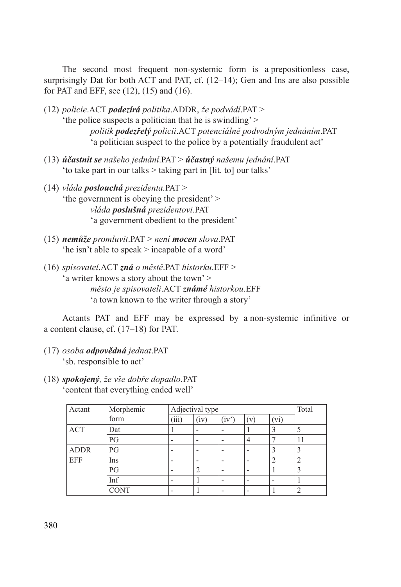The second most frequent non-systemic form is a prepositionless case, surprisingly Dat for both ACT and PAT, cf. (12–14); Gen and Ins are also possible for PAT and EFF, see (12), (15) and (16).

- (12) *policie*.ACT *podezírá politika*.ADDR, *že podvádí*.PAT > 'the police suspects a politician that he is swindling' > *politik podezřelý policii*.ACT *potenciálně podvodným jednáním*.PAT 'a politician suspect to the police by a potentially fraudulent act'
- (13) *účastnit se našeho jednání*.PAT > *účastný našemu jednání*.PAT 'to take part in our talks > taking part in [lit. to] our talks'
- (14) *vláda poslouchá prezidenta.*PAT > 'the government is obeying the president' > *vláda poslušná prezidentovi*.PAT 'a government obedient to the president'
- (15) *nemůže promluvit*.PAT > *není mocen slova*.PAT 'he isn't able to speak > incapable of a word'
- (16) *spisovatel*.ACT *zná o městě*.PAT *historku*.EFF > 'a writer knows a story about the town' > *město je spisovateli*.ACT *známé historkou*.EFF 'a town known to the writer through a story'

Actants PAT and EFF may be expressed by a non-systemic infinitive or a content clause, cf. (17–18) for PAT.

- (17) *osoba odpovědná jednat*.PAT 'sb. responsible to act'
- (18) *spokojený, že vše dobře dopadlo*.PAT 'content that everything ended well'

| Actant      | Morphemic   | Adjectival type          |      |       |     |                          | Total |
|-------------|-------------|--------------------------|------|-------|-----|--------------------------|-------|
|             | form        | (iii)                    | (iv) | (iv') | (v) | (vi)                     |       |
| <b>ACT</b>  | Dat         |                          |      |       |     | 3                        |       |
|             | PG          | $\overline{\phantom{0}}$ |      |       | 4   |                          | 11    |
| <b>ADDR</b> | PG          | $\overline{\phantom{0}}$ |      |       |     | 3                        |       |
| <b>EFF</b>  | Ins         | $\overline{\phantom{0}}$ |      |       |     | $\overline{2}$           |       |
|             | PG          | -                        |      |       |     |                          |       |
|             | Inf         |                          |      |       |     | $\overline{\phantom{0}}$ |       |
|             | <b>CONT</b> |                          |      |       |     |                          |       |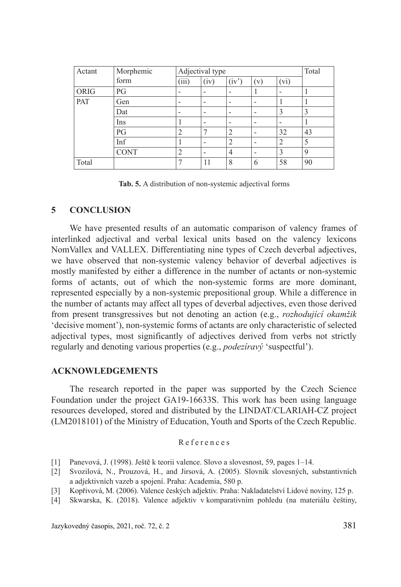| Actant      | Morphemic<br>Adjectival type |                |                          |                          |                          |      | Total       |
|-------------|------------------------------|----------------|--------------------------|--------------------------|--------------------------|------|-------------|
|             | form                         | (iii)          | (iv)                     | (iv')                    | (v)                      | (vi) |             |
| <b>ORIG</b> | PG                           | -              | $\overline{\phantom{0}}$ |                          |                          |      |             |
| PAT         | Gen                          | -              | $\overline{\phantom{0}}$ |                          | $\overline{a}$           |      |             |
|             | Dat                          | -              | $\overline{\phantom{0}}$ |                          | $\overline{\phantom{a}}$ | 3    | 3           |
|             | Ins                          |                | $\overline{\phantom{0}}$ | $\overline{\phantom{0}}$ | $\overline{\phantom{a}}$ |      |             |
|             | PG                           | $\overline{2}$ | ⇁                        | $\overline{c}$           | $\overline{a}$           | 32   | 43          |
|             | Inf                          |                |                          | 2                        |                          | 2    | 5           |
|             | <b>CONT</b>                  | $\overline{2}$ | $\overline{\phantom{0}}$ | 4                        | $\overline{\phantom{a}}$ | 3    | $\mathbf Q$ |
| Total       |                              | 7              | 11                       | 8                        | 6                        | 58   | 90          |

**Tab. 5.** A distribution of non-systemic adjectival forms

#### **5 CONCLUSION**

We have presented results of an automatic comparison of valency frames of interlinked adjectival and verbal lexical units based on the valency lexicons NomVallex and VALLEX. Differentiating nine types of Czech deverbal adjectives, we have observed that non-systemic valency behavior of deverbal adjectives is mostly manifested by either a difference in the number of actants or non-systemic forms of actants, out of which the non-systemic forms are more dominant, represented especially by a non-systemic prepositional group. While a difference in the number of actants may affect all types of deverbal adjectives, even those derived from present transgressives but not denoting an action (e.g., *rozhodující okamžik* 'decisive moment'), non-systemic forms of actants are only characteristic of selected adjectival types, most significantly of adjectives derived from verbs not strictly regularly and denoting various properties (e.g., *podezíravý* 'suspectful').

#### **ACKNOWLEDGEMENTS**

The research reported in the paper was supported by the Czech Science Foundation under the project GA19-16633S. This work has been using language resources developed, stored and distributed by the LINDAT/CLARIAH-CZ project (LM2018101) of the Ministry of Education, Youth and Sports of the Czech Republic.

#### References

- [1] Panevová, J. (1998). Ještě k teorii valence. Slovo a slovesnost, 59, pages 1–14.
- [2] Svozilová, N., Prouzová, H., and Jirsová, A. (2005). Slovník slovesných, substantivních a adjektivních vazeb a spojení. Praha: Academia, 580 p.
- [3] Kopřivová, M. (2006). Valence českých adjektiv. Praha: Nakladatelství Lidové noviny, 125 p.
- [4] Skwarska, K. (2018). Valence adjektiv v komparativním pohledu (na materiálu češtiny,